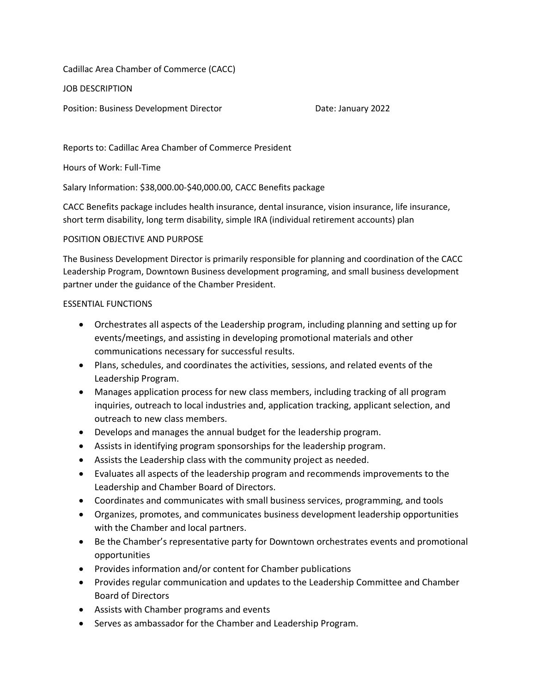Cadillac Area Chamber of Commerce (CACC)

JOB DESCRIPTION

Position: Business Development Director **Date: January 2022** 

Reports to: Cadillac Area Chamber of Commerce President

Hours of Work: Full-Time

Salary Information: \$38,000.00-\$40,000.00, CACC Benefits package

CACC Benefits package includes health insurance, dental insurance, vision insurance, life insurance, short term disability, long term disability, simple IRA (individual retirement accounts) plan

## POSITION OBJECTIVE AND PURPOSE

The Business Development Director is primarily responsible for planning and coordination of the CACC Leadership Program, Downtown Business development programing, and small business development partner under the guidance of the Chamber President.

## ESSENTIAL FUNCTIONS

- Orchestrates all aspects of the Leadership program, including planning and setting up for events/meetings, and assisting in developing promotional materials and other communications necessary for successful results.
- Plans, schedules, and coordinates the activities, sessions, and related events of the Leadership Program.
- Manages application process for new class members, including tracking of all program inquiries, outreach to local industries and, application tracking, applicant selection, and outreach to new class members.
- Develops and manages the annual budget for the leadership program.
- Assists in identifying program sponsorships for the leadership program.
- Assists the Leadership class with the community project as needed.
- Evaluates all aspects of the leadership program and recommends improvements to the Leadership and Chamber Board of Directors.
- Coordinates and communicates with small business services, programming, and tools
- Organizes, promotes, and communicates business development leadership opportunities with the Chamber and local partners.
- Be the Chamber's representative party for Downtown orchestrates events and promotional opportunities
- Provides information and/or content for Chamber publications
- Provides regular communication and updates to the Leadership Committee and Chamber Board of Directors
- Assists with Chamber programs and events
- Serves as ambassador for the Chamber and Leadership Program.